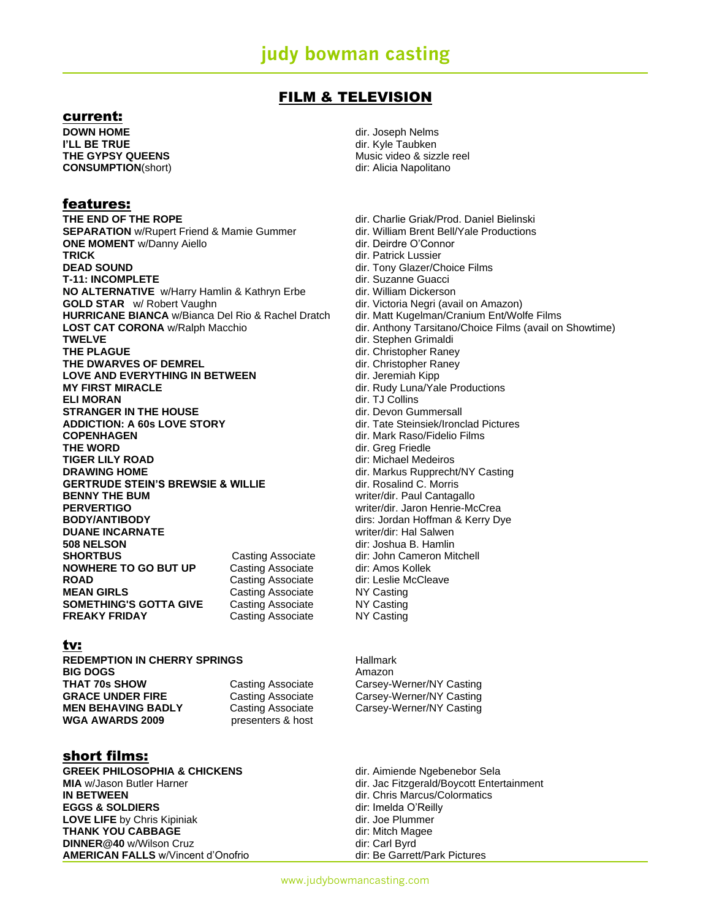### FILM & TELEVISION

### current:

**DOWN HOME DOWN HOME dir.** Joseph Nelms **I'LL BE TRUE** dir. Kyle Taubken **CONSUMPTION**(short) **CONSUMPTION** (short)

### features:

**THE END OF THE ROPE** dir. Charlie Griak/Prod. Daniel Bielinski<br> **SEPARATION** w/Rupert Friend & Mamie Gummer dir. William Brent Bell/Yale Productions **SEPARATION** w/Rupert Friend & Mamie Gummer dir. William Brent Bell/<br> **ONE MOMENT** w/Danny Aiello<br> **COMENT** W/Danny Aiello **ONE MOMENT** *w*/Danny Aiello TRICK **DEAD SOUND DEAD SOUND DEAD SOUND T-11: INCOMPLETE** dir. Suzanne Guacci **NO ALTERNATIVE** w/Harry Hamlin & Kathryn Erbe dir. William Dickerson **GOLD STAR** W Robert Vaughn **direct Collect Contract Collect Collect** dir. Victoria Negri (avail on Amazon) **HURRICANE BIANCA** w/Bianca Del Rio & Rachel Dratch dir. Matt Kugelman/Cranium Ent/Wolfe Films **LOST CAT CORONA** w/Ralph Macchio dir. Anthony Tarsitano/Choice Films (avail on Showtime) **TWELVE dir.** Stephen Grimaldi **THE PLAGUE CHAGUE DIRECTION dir.** Christopher Raney **THE DWARVES OF DEMREL CONSERVERS OF DEMREL SETWEEN** dir. Christopher Raney<br>
LOVE AND EVERYTHING IN BETWEEN dir. Jeremiah Kipp LOVE AND EVERYTHING IN BETWEEN<br>MY FIRST MIRACLE **ELI MORAN** direction of the contract of the collins of the collins of the collins of the collins of the collins of the collins of the collins of the collins of the collins of the collins of the collins of the collins of t **STRANGER IN THE HOUSE STRANGER IN THE HOUSE ADDICTION: A 60s LOVE STORY** dir. Tate Steinsiek/Ironclad Pictures<br> **COPENHAGEN** dir. Mark Raso/Fidelio Films **THE WORD** dir. Greg Friedle **TIGER LILY ROAD Direct Contract Contract Contract Contract Contract Contract Contract Contract Contract Contract Contract Contract Contract Contract Contract Contract Contract Contract Contract Contract Contract Contrac DRAWING HOME DRAWING HOME dir.** Markus Rupprecht/NY Casting GERTRUDE STEIN'S BREWSIE & WILLIE dir. Rosalind C. Morris **BENNY THE BUM EXAMPLE 2008 WELL ASSESSED ASSESSED ASSESSED ASSESSED ASSESSED AT A VALUE OF A VALUE OF A VALUE OF A VALUE OF A VALUE OF A VALUE OF A VALUE OF A VALUE OF A VALUE OF A VALUE OF A VALUE OF A VALUE OF A VAL PERVERTIGO** writer/dir. Jaron Henrie-McCrea<br> **BODY/ANTIBODY** WRITER CONTROLLER MANUSIC MANAGEMENT MANUSIC MANUSIC MANUSIC MANUSIC MANUSIC MANUSIC MANUSIC MANU **DUANE INCARNATE writer/dir: Hal Salwen 508 NELSON** dir: Joshua B. Hamlin **SHORTBUS Casting Associate** dir: John Cameron Mitchell **NOWHERE TO GO BUT UP** Casting Associate dir: Amos Kollek **ROAD Casting Associate** dir: Leslie McCleave **MEAN GIRLS** Casting Associate NY Casting **SOMETHING'S GOTTA GIVE** Casting Associate MY Casting **FREAKY FRIDAY** Casting Associate NY Casting

#### tv:

**REDEMPTION IN CHERRY SPRINGS** Hallmark **BIG DOGS** Amazon **THAT 70s SHOW Casting Associate Carsey-Werner/NY Casting Casting GRACE UNDER FIRE** Casting Associate Carsey-Werner/NY Casting **MEN BEHAVING BADLY** Casting Associate Carsey-Werner/NY Casting **WGA AWARDS 2009** presenters & host

### short films:

GREEK PHILOSOPHIA & CHICKENS<br>
dir. Aimiende Ngebenebor Sela **MIA** w/Jason Butler Harner dir. Jac Fitzgerald/Boycott Entertainment **IN BETWEEN IN BETWEEN dir.** Chris Marcus/Colormatics **EGGS & SOLDIERS** dir: Imelda O'Reilly **LOVE LIFE** by Chris Kipiniak dir. Joe Plummer **THANK YOU CABBAGE** dir: Mitch Magee **DINNER@40** w/Wilson Cruz dir: Carl Byrd **AMERICAN FALLS** w/Vincent d'Onofrio dir: Be Garrett/Park Pictures

**THE GYPSY QUEENS** Music video & sizzle reel

**TRICK** dir. Patrick Lussier dir. Rudy Luna/Yale Productions **COPENHAGEN** dir. Mark Raso/Fidelio Films dirs: Jordan Hoffman & Kerry Dye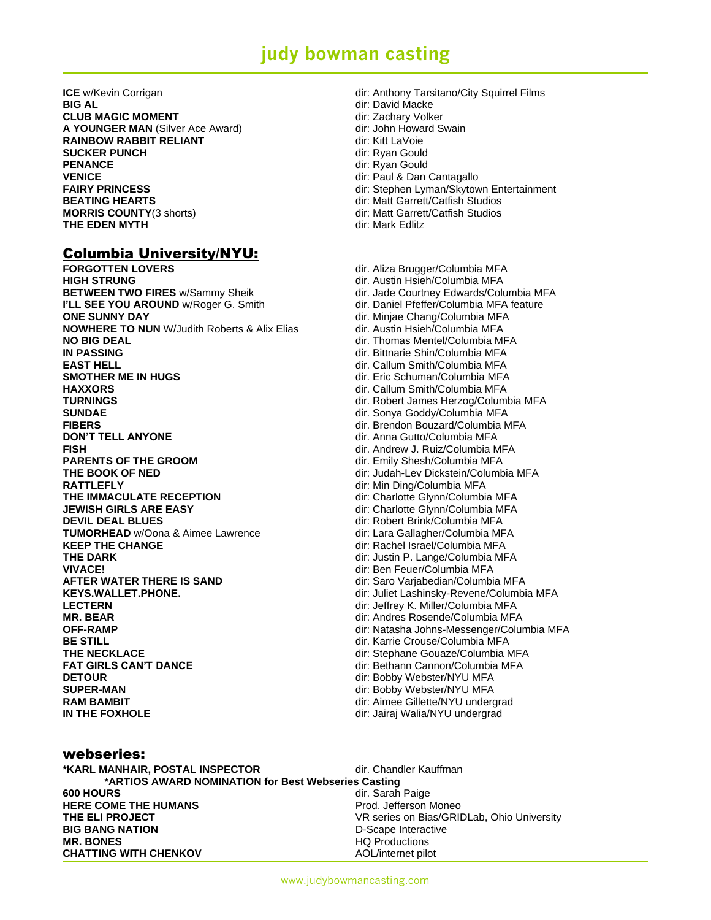**CLUB MAGIC MOMENT CLUB MAGIC MOMENT dir:** Zachary Volker **A YOUNGER MAN (Silver Ace Award) dir: John Howard Swain RAINBOW RABBIT RELIANT** dir: Kitt LaVoie **SUCKER PUNCH** dir: Ryan Gould PENANCE dir: Ryan Gould **VENICE dir:** Paul & Dan Cantagallo **BEATING HEARTS** dir: Matt Garrett/Catfish Studios **MORRIS COUNTY**(3 shorts) **dir: Matt Garrett/Catfish Studios THE EDEN MYTH dirichlock dirichlock** diric Mark Edlitz

### Columbia University/NYU:

**FORGOTTEN LOVERS**<br> **FORGOTTEN LOVERS**<br> **HIGH STRUNG** MEA **HIGH STRUNG**<br> **BETWEEN TWO FIRES** w/Sammy Sheik **dir.** Jade Courtney Edwards/Columbia MFA **I'LL SEE YOU AROUND** w/Roger G. Smith dir. Daniel Pfeffer/Columbia MFA feature **ONE SUNNY DAY DIREGONAL CONSTRUCTS DIREGONAL CONFIDENTIAL CONFIDENTIAL CONFIDENTIAL CONFIDENTIAL CONFIDENTIAL CONFIDENTIAL CONFIDENTIAL CONFIDENTIAL CONFIDENTIAL CONFIDENTIAL CONFIDENTIAL CONFIDENTIAL CONFIDENTIAL CON NOWHERE TO NUN** W/Judith Roberts & Alix Elias dir. Austin Hsieh/Columbia MFA **NO BIG DEAL No BIG DEAL dir.** Thomas Mentel/Columbia MFA **IN PASSING COLUMBIA COLUMBIA COLUMBIA COLUMBIA COLUMBIA COLUMBIA COLUMBIA COLUMBIA COLUMBIA COLUMBIA COLUMBIA COLUMBIA COLUMBIA COLUMBIA COLUMBIA COLUMBIA COLUMBIA COLUMBIA COLUMBIA COLUMBIA COLUMBIA COLUMBIA COLUMBIA C EAST HELL** dir. Callum Smith/Columbia MFA **SMOTHER ME IN HUGS Direction of the Schuman/Columbia MFA HAXXORS** dir. Callum Smith/Columbia MFA **TURNINGS** dir. Robert James Herzog/Columbia MFA **SUNDAE** dir. Sonya Goddy/Columbia MFA **FIBERS** dir. Brendon Bouzard/Columbia MFA **DON'T TELL ANYONE DON'T TELL ANYONE dir.** Anna Gutto/Columbia MFA **FISH**<br> **PARENTS OF THE GROOM EXECUTE:** CONTRACT **EXECUTE:** COLUMBIA MEA **THE BOOK OF NED Discription of the University Columbia MFA** dir: Judah-Lev Dickstein/Columbia MFA **RATTLEFLY**<br> **THE IMMACULATE RECEPTION**<br> **THE IMMACULATE RECEPTION EXECUTE:** Charlotte Glynn/Columbi **JEWISH GIRLS ARE EASY dir:** Charlotte Glynn/Columbia MFA **DEVIL DEAL BLUES** dir: Robert Brink/Columbia MFA **TUMORHEAD** w/Oona & Aimee Lawrence dir: Lara Gallagher/Columbia MFA **KEEP THE CHANGE Example 20 Interval 20 Interval 20 Interval 20 Interval 20 Interval 20 Interval 20 Interval 20 Interval 20 Interval 20 Interval 20 Interval 20 Interval 20 Interval 20 Interval 20 Interval 20 Interval 20 THE DARK dir: Justin P. Lange/Columbia MFA VIVACE!** dir: Ben Feuer/Columbia MFA **AFTER WATER THERE IS SAND**<br> **KEYS.WALLET.PHONE.**<br> **COLLER AREAS AND CONTAINERY AND MOVING A STATE STATE OF SAND COLLER ASSESSINGLY AND READY OF SAND METALLY AND ME LECTERN** dir: Jeffrey K. Miller/Columbia MFA **MR. BEAR** dir: Andres Rosende/Columbia MFA **OFF-RAMP** dir: Natasha Johns-Messenger/Columbia MFA **BE STILL BE STILL BE STILL Direct Conservative Conservative Crouse** dir. Karrie Crouse/Columbia MFA **THE NECKLACE dir:** Stephane Gouaze/Columbia MFA **FAT GIRLS CAN'T DANCE dir: Bethann Cannon/Columbia MFA DETOUR DETOUR DETOUR DETOUR DETOUR SUPER-MAN** dir: Bobby Webster/NYU MFA **RAM BAMBIT RAM BAMBIT Direction of the Contract of Alliance Gillette/NYU undergrad IN THE FOXHOLE Discription of the U.S. Alternative Control of Alternative Control of the U.S. Alternative Control of Alternative Control of the U.S. Alternative Control of Alternative Control of the U.S. Alternative Con** 

- **ICE** w/Kevin Corrigan **and City Squirrel Films** dir: Anthony Tarsitano/City Squirrel Films<br> **BIG AL**<br> **BIG AL BIG AL** dir: David Macke **FAIRY PRINCESS dir:** Stephen Lyman/Skytown Entertainment
	-

dir. Jade Courtney Edwards/Columbia MFA dir. Emily Shesh/Columbia MFA dir: Charlotte Glynn/Columbia MFA dir: Juliet Lashinsky-Revene/Columbia MFA

#### webseries:

| *KARL MANHAIR, POSTAL INSPECTOR                     | dir. Chandler Kauffman                     |
|-----------------------------------------------------|--------------------------------------------|
| *ARTIOS AWARD NOMINATION for Best Webseries Casting |                                            |
| <b>600 HOURS</b>                                    | dir. Sarah Paige                           |
| <b>HERE COME THE HUMANS</b>                         | Prod. Jefferson Moneo                      |
| THE ELI PROJECT                                     | VR series on Bias/GRIDLab, Ohio University |
| <b>BIG BANG NATION</b>                              | D-Scape Interactive                        |
| <b>MR. BONES</b>                                    | <b>HQ Productions</b>                      |
| <b>CHATTING WITH CHENKOV</b>                        | AOL/internet pilot                         |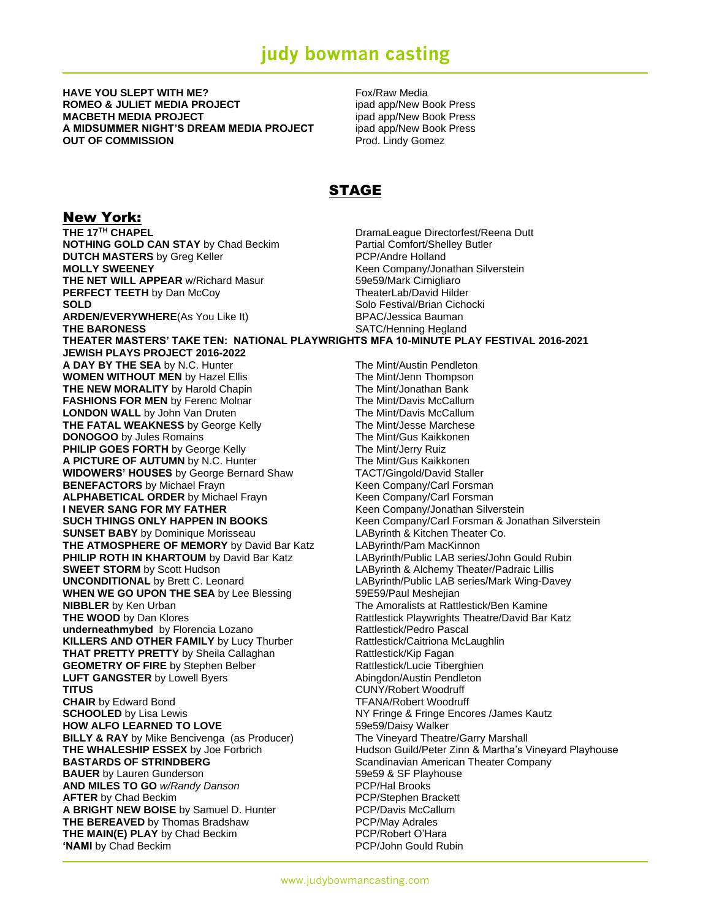**HAVE YOU SLEPT WITH ME?** The state of the state of the Fox/Raw Media **ROMEO & JULIET MEDIA PROJECT** in the state of the state of the state **ROMEO** & SOCK Press **MACBETH MEDIA PROJECT induces and app/New Book Press A MIDSUMMER NIGHT'S DREAM MEDIA PROJECT** ipad app/New Book Press **OUT OF COMMISSION Prod. Lindy Gomez** 

### STAGE

**New York:**<br>THE 17<sup>TH</sup> CHAPEL **DramaLeague Directorfest/Reena Dutt NOTHING GOLD CAN STAY** by Chad Beckim Partial Comfort/Shelley Butler **DUTCH MASTERS** by Greg Keller **PCP/Andre Holland MOLLY SWEENEY**<br> **THE NET WILL APPEAR** w/Richard Masur<br>
59e59/Mark Cirnigliaro **THE NET WILL APPEAR w/Richard Masur PERFECT TEETH** by Dan McCoy TheaterLab/David Hilder **SOLD** SOLD SOLD **SOLD** Solo Festival/Brian Cichocki ARDEN/EVERYWHERE(As You Like It) BPAC/Jessica Bauman **THE BARONESS** SATC/Henning Hegland **THEATER MASTERS' TAKE TEN: NATIONAL PLAYWRIGHTS MFA 10-MINUTE PLAY FESTIVAL 2016-2021 JEWISH PLAYS PROJECT 2016-2022 A DAY BY THE SEA** by N.C. Hunter The Mint/Austin Pendleton **WOMEN WITHOUT MEN** by Hazel Ellis The Mint/Jenn Thompson **THE NEW MORALITY** by Harold Chapin The Mint/Jonathan Bank<br> **FASHIONS FOR MEN** by Ferenc Molnar The Mint/Davis McCallum FASHIONS FOR MEN by Ferenc Molnar **LONDON WALL** by John Van Druten The Mint/Davis McCallum **THE FATAL WEAKNESS** by George Kelly The Mint/Jesse Marchese **DONOGOO** by Jules Romains **The Mint/Gus Kaikkonen**<br> **PHILIP GOES FORTH** by George Kelly **The Mint/Jerry Ruiz PHILIP GOES FORTH** by George Kelly The Mint/Jerry Ruiz<br> **A PICTURE OF AUTUMN** by N.C. Hunter The Mint/Gus Kaikkonen A PICTURE OF AUTUMN by N.C. Hunter **WIDOWERS' HOUSES** by George Bernard Shaw TACT/Gingold/David Staller<br> **BENEFACTORS** by Michael Frayn **Frayn** Keen Company/Carl Forsman **BENEFACTORS** by Michael Frayn **Reen Company/Carl Forsman**<br> **ALPHABETICAL ORDER** by Michael Frayn **Reen Company/Carl Forsman ALPHABETICAL ORDER** by Michael Frayn **I NEVER SANG FOR MY FATHER** Keen Company/Jonathan Silverstein **SUCH THINGS ONLY HAPPEN IN BOOKS** Keen Company/Carl Forsman & Jonathan Silverstein **SUNSET BABY** by Dominique Morisseau **LAByrinth & Kitchen Theater Co. THE ATMOSPHERE OF MEMORY** by David Bar Katz LAByrinth/Pam MacKinnon **PHILIP ROTH IN KHARTOUM** by David Bar Katz LAByrinth/Public LAB series/John Gould Rubin **SWEET STORM** by Scott Hudson **LAByrinth & Alchemy Theater/Padraic Lillis UNCONDITIONAL** by Brett C. Leonard **LAByrinth/Public LAB series/Mark Wing-Davey WHEN WE GO UPON THE SEA** by Lee Blessing 59E59/Paul Meshejian **NIBBLER** by Ken Urban The Amoralists at Rattlestick/Ben Kamine **THE WOOD** by Dan Klores **Rattlestick Playwrights Theatre/David Bar Katz underneathmybed** by Florencia Lozano **Rattlestick/Pedro Pascal KILLERS AND OTHER FAMILY** by Lucy Thurber Rattlestick/Caitriona McLaughlin **THAT PRETTY PRETTY** by Sheila Callaghan Rattlestick/Kip Fagan GEOMETRY OF FIRE by Stephen Belber **Rattlestick/Lucie Tiberghien LUFT GANGSTER** by Lowell Byers **Abingdon/Austin Pendleton TITUS** CUNY/Robert Woodruff **CHAIR** by Edward Bond **TEANA/Robert Woodruff SCHOOLED** by Lisa Lewis **NY Fringe & Fringe Encores** /James Kautz **HOW ALFO LEARNED TO LOVE** 69859/Daisy Walker **BILLY & RAY** by Mike Bencivenga (as Producer) The Vineyard Theatre/Garry Marshall<br>
THE WHALESHIP ESSEX by Joe Forbrich THE WHALESHIP BESSEX by Joe Forbrich **THE WHALESHIP ESSEX** by Joe Forbrich **Hudson Guild/Peter Zinn & Martha's Vineyard Playhouse**<br> **BASTARDS OF STRINDBERG** Scandinavian American Theater Company **BAUER** by Lauren Gunderson 59e59 & SF Playhouse **AND MILES TO GO** *w/Randy Danson* **AFTER** by Chad Beckim **PCP/Stephen Brackett A BRIGHT NEW BOISE** by Samuel D. Hunter PCP/Davis McCallum **THE BEREAVED** by Thomas Bradshaw **PCP/May Adrales THE MAIN(E) PLAY** by Chad Beckim **PCP/Robert O'Hara 'NAMI** by Chad Beckim **Community PCP/John Gould Rubin** 

**Scandinavian American Theater Company**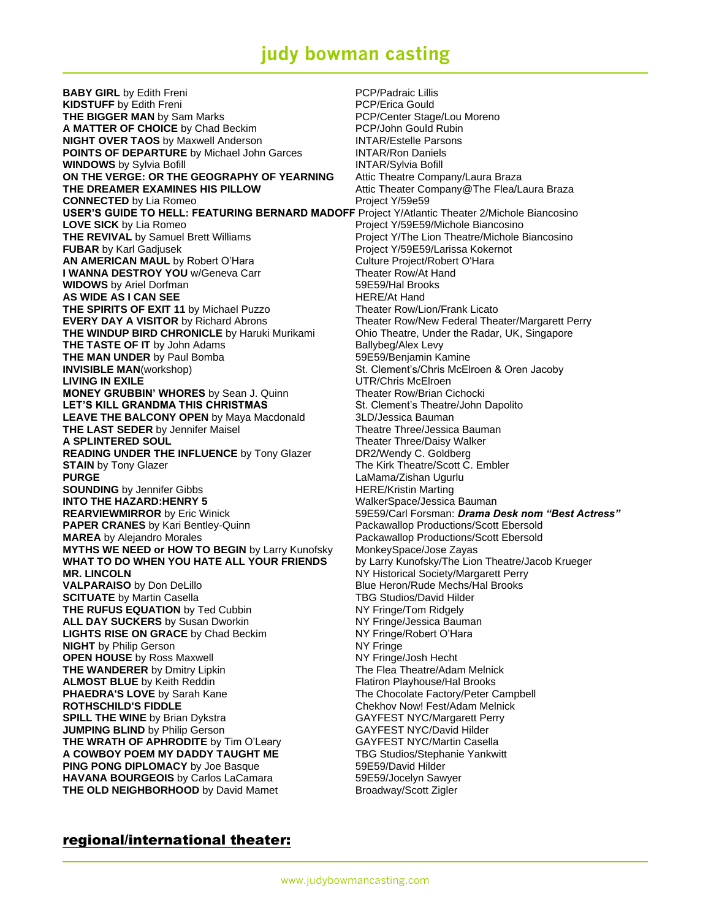**BABY GIRL** by Edith Freni **PCP/Padraic Lillis KIDSTUFF** by Edith Freni **Example 2018** PCP/Erica Gould **THE BIGGER MAN** by Sam Marks **No. 2018 PCP/Center Stage/Lou Moreno A MATTER OF CHOICE** by Chad Beckim PCP/John Gould Rubin **NIGHT OVER TAOS** by Maxwell Anderson **INTAR/Estelle Parsons POINTS OF DEPARTURE** by Michael John Garces **INTAR/Ron Daniels WINDOWS** by Sylvia Bofill **INTAR/Sylvia Bofill ON THE VERGE: OR THE GEOGRAPHY OF YEARNING** Attic Theatre Company/Laura Braza **THE DREAMER EXAMINES HIS PILLOW THE AREA Attic Theater Company@The Flea/Laura Braza CONNECTED** by Lia Romeo **Project Y/59e59 USER'S GUIDE TO HELL: FEATURING BERNARD MADOFF** Project Y/Atlantic Theater 2/Michole Biancosino LOVE SICK by Lia Romeo **Project Y/59E59/Michole Biancosino THE REVIVAL** by Samuel Brett Williams **Project Y/The Lion Theatre/Michole Biancosino FUBAR** by Karl Gadjusek **Project Y/59E59/Larissa Kokernot AN AMERICAN MAUL** by Robert O'Hara Culture Project/Robert O'Hara **I WANNA DESTROY YOU** w/Geneva Carr Theater Row/At Hand **WIDOWS** by Ariel Dorfman **1988 by Ariel Dorfman** 59E59/Hal Brooks **AS WIDE AS I CAN SEE HERE/At Hand THE SPIRITS OF EXIT 11** by Michael Puzzo **Theater Row/Lion/Frank Licato EVERY DAY A VISITOR** by Richard Abrons Theater Row/New Federal Theater/Margarett Perry **THE WINDUP BIRD CHRONICLE** by Haruki Murikami Ohio Theatre, Under the Radar, UK, Singapore **THE TASTE OF IT** by John Adams Ballybeg/Alex Levy **THE MAN UNDER** by Paul Bomba 69E59/Benjamin Kamine **INVISIBLE MAN**(workshop) St. Clement's/Chris McElroen & Oren Jacoby LIVING IN EXILE **LIVING IN EXILE UTR/Chris McElroen MONEY GRUBBIN' WHORES** by Sean J. Quinn Theater Row/Brian Cichocki<br>
LET'S KILL GRANDMA THIS CHRISTMAS St. Clement's Theatre/John Dapolito **LET'S KILL GRANDMA THIS CHRISTMAS LEAVE THE BALCONY OPEN** by Maya Macdonald 3LD/Jessica Bauman **THE LAST SEDER** by Jennifer Maisel Theatre Three/Jessica Bauman **A SPLINTERED SOUL Theater Three/Daisy Walker READING UNDER THE INFLUENCE** by Tony Glazer DR2/Wendy C. Goldberg **STAIN** by Tony Glazer The Kirk Theatre/Scott C. Embler **PURGE LaMama/Zishan Ugurlu SOUNDING** by Jennifer Gibbs **HERE/Kristin Marting INTO THE HAZARD:HENRY 5** WalkerSpace/Jessica Bauman **REARVIEWMIRROR** by Eric Winick 59E59/Carl Forsman: *Drama Desk nom "Best Actress"* **PAPER CRANES** by Kari Bentley-Quinn Packawallop Productions/Scott Ebersold **MAREA** by Alejandro Morales **Packawallop Productions/Scott Ebersold MYTHS WE NEED or HOW TO BEGIN** by Larry Kunofsky MonkeySpace/Jose Zayas **WHAT TO DO WHEN YOU HATE ALL YOUR FRIENDS** by Larry Kunofsky/The Lion Theatre/Jacob Krueger **MR. LINCOLN MR. LINCOLN NY Historical Society/Margarett Perry VALPARAISO** by Don DeLillo **Blue Heron/Rude Mechs/Hal Brooks SCITUATE** by Martin Casella **TBG Studios/David Hilder THE RUFUS EQUATION** by Ted Cubbin NY Fringe/Tom Ridgely **ALL DAY SUCKERS** by Susan Dworkin NY Fringe/Jessica Bauman **LIGHTS RISE ON GRACE** by Chad Beckim NY Fringe/Robert O'Hara **NIGHT** by Philip Gerson **NIGHT** by Philip Gerson **OPEN HOUSE** by Ross Maxwell NY Fringe/Josh Hecht **THE WANDERER** by Dmitry Lipkin The Flea Theatre/Adam Melnick<br> **ALMOST BLUE** by Keith Reddin The Flatiron Playhouse/Hal Brooks **ALMOST BLUE** by Keith Reddin **PHAEDRA'S LOVE** by Sarah Kane The Chocolate Factory/Peter Campbell **ROTHSCHILD'S FIDDLE Chekhov Now! Fest/Adam Melnick SPILL THE WINE** by Brian Dykstra GAYFEST NYC/Margarett Perry **JUMPING BLIND** by Philip Gerson GAYFEST NYC/David Hilder **THE WRATH OF APHRODITE** by Tim O'Leary **GAYFEST NYC/Martin Casella A COWBOY POEM MY DADDY TAUGHT ME** TBG Studios/Stephanie Yankwitt **PING PONG DIPLOMACY** by Joe Basque 59E59/David Hilder **HAVANA BOURGEOIS** by Carlos LaCamara 59E59/Jocelyn Sawyer **THE OLD NEIGHBORHOOD** by David Mamet Broadway/Scott Zigler

### regional/international theater: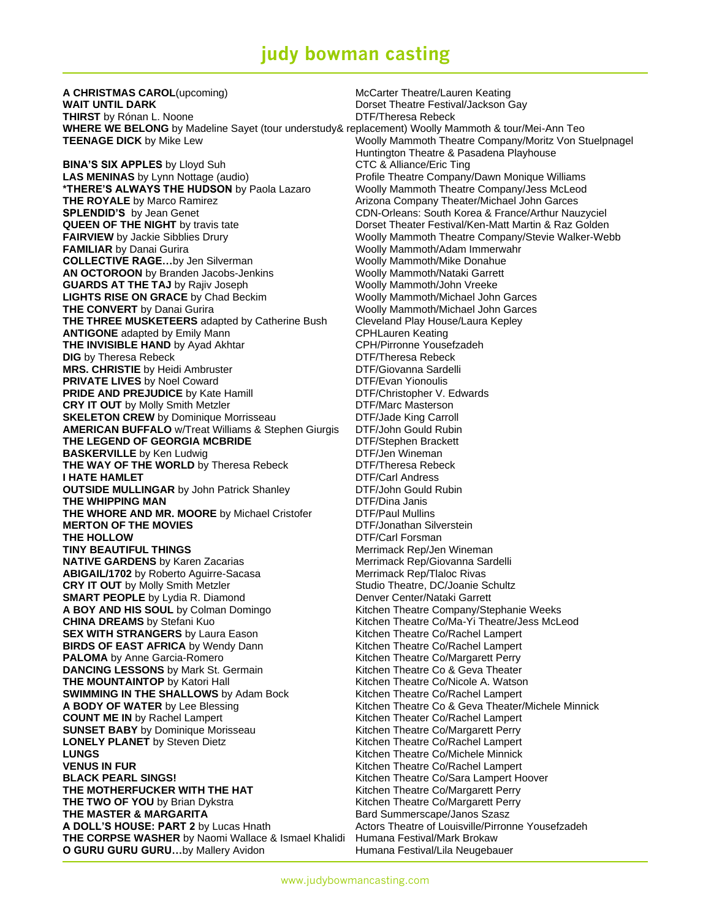**A CHRISTMAS CAROL**(upcoming) McCarter Theatre/Lauren Keating **WAIT UNTIL DARK Dorset Theatre Festival/Jackson Gay THIRST** by Rónan L. Noone **DTF/Theresa Rebeck WHERE WE BELONG** by Madeline Sayet (tour understudy& replacement) Woolly Mammoth & tour/Mei-Ann Teo **TEENAGE DICK** by Mike Lew **Woolly Mammoth Theatre Company/Moritz Von Stuelpnagel** 

**BINA'S SIX APPLES** by Lloyd Suh CTC & Alliance/Eric Ting **LAS MENINAS** by Lynn Nottage (audio) Profile Theatre Company/Dawn Monique Williams **\*THERE'S ALWAYS THE HUDSON** by Paola Lazaro Woolly Mammoth Theatre Company/Jess McLeod **THE ROYALE** by Marco Ramirez **Arizona Company Theater/Michael John Garces** Arizona Company Theater/Michael John Garces **SPLENDID'S** by Jean Genet **CDN-Orleans: South Korea & France/Arthur Nauzyciel QUEEN OF THE NIGHT** by travis tate **Dorset Theater Festival/Ken-Matt Martin & Raz Golden FAIRVIEW** by Jackie Sibblies Drury Woolly Mammoth Theatre Company/Stevie Walker-Webb **FAMILIAR** by Danai Gurira **Collective Collective Mannum Woolly Mammoth/Adam Immerwahr<br>
<b>COLLECTIVE RAGE...**by Jen Silverman **Woolly Mammoth/Mike Donahue COLLECTIVE RAGE...by Jen Silverman AN OCTOROON** by Branden Jacobs-Jenkins Woolly Mammoth/Nataki Garrett **GUARDS AT THE TAJ** by Rajiv Joseph Woolly Mammoth/John Vreeke **LIGHTS RISE ON GRACE** by Chad Beckim Woolly Mammoth/Michael John Garces **THE CONVERT** by Danai Gurira **With Conventionation** Woolly Mammoth/Michael John Garces **THE THREE MUSKETEERS** adapted by Catherine Bush Cleveland Play House/Laura Kepley **ANTIGONE** adapted by Emily Mann **CREAD CONTAING CPHLAURE CONTIGONE** adapted by Ayad Akhtar **CPH** CPH/Pirronne Yousefzadeh **THE INVISIBLE HAND** by Ayad Akhtar **CPH/Pirronne Yousefzage CPH/Pirronne Yousefz**<br>
DIG by Theresa Rebeck **DIF/Theresa Rebeck DIG** by Theresa Rebeck **MRS. CHRISTIE** by Heidi Ambruster DTF/Giovanna Sardelli **PRIVATE LIVES** by Noel Coward DTF/Evan Yionoulis **PRIDE AND PREJUDICE** by Kate Hamill **DUTE CONTAINS BY A LIGAN DTF/Christopher V. Edwards**<br> **CRY IT OUT** by Molly Smith Metzler **DUTE AND STE**/Marc Masterson **CRY IT OUT** by Molly Smith Metzler **SKELETON CREW** by Dominique Morrisseau DTF/Jade King Carroll **AMERICAN BUFFALO** w/Treat Williams & Stephen Giurgis DTF/John Gould Rubin **THE LEGEND OF GEORGIA MCBRIDE** DTF/Stephen Brackett **BASKERVILLE** by Ken Ludwig **DASKERVILLE** by Ken Ludwig **DASKERVILLE DETE**<br> **THE WAY OF THE WORLD** by Theresa Rebeck **DIF/Theresa Rebeck** THE WAY OF THE WORLD by Theresa Rebeck **I HATE HAMLET DTF/Carl Andress OUTSIDE MULLINGAR** by John Patrick Shanley DTF/John Gould Rubin **THE WHIPPING MAN** DTF/Dina Janis **THE WHORE AND MR. MOORE** by Michael Cristofer DTF/Paul Mullins **MERTON OF THE MOVIES** DTF/Jonathan Silverstein **THE HOLLOW DTF/Carl Forsman TINY BEAUTIFUL THINGS** Merrimack Rep/Jen Wineman **NATIVE GARDENS** by Karen Zacarias **Merrimack Rep/Giovanna Sardelli**<br> **ABIGAIL/1702** by Roberto Aguirre-Sacasa Merrimack Rep/Tlaloc Rivas **ABIGAIL/1702** by Roberto Aguirre-Sacasa **CRY IT OUT** by Molly Smith Metzler Studio Theatre, DC/Joanie Schultz **SMART PEOPLE** by Lydia R. Diamond Denver Center/Nataki Garrett **A BOY AND HIS SOUL** by Colman Domingo Kitchen Theatre Company/Stephanie Weeks **CHINA DREAMS** by Stefani Kuo **Kitchen Theatre Co/Ma-Yi Theatre/Jess McLeod SEX WITH STRANGERS** by Laura Eason **Kitchen Theatre Co/Rachel Lampert BIRDS OF EAST AFRICA** by Wendy Dann Kitchen Theatre Co/Rachel Lampert **PALOMA** by Anne Garcia-Romero Kitchen Theatre Co/Margarett Perry **DANCING LESSONS** by Mark St. Germain Kitchen Theatre Co & Geva Theater **THE MOUNTAINTOP** by Katori Hall **Exercise 20** Kitchen Theatre Co/Nicole A. Watson **SWIMMING IN THE SHALLOWS** by Adam Bock Kitchen Theatre Co/Rachel Lampert **A BODY OF WATER** by Lee Blessing Kitchen Theatre Co & Geva Theater/Michele Minnick **COUNT ME IN** by Rachel Lampert Kitchen Theater Co/Rachel Lampert **SUNSET BABY** by Dominique Morisseau Kitchen Theatre Co/Margarett Perry **LONELY PLANET** by Steven Dietz **Kitchen Theatre Co/Rachel Lampert LUNGS** Kitchen Theatre Co/Michele Minnick **VENUS IN FUR EXECUTE:** The MICK CONSTRUCTED MANUSIC KITCHEN Kitchen Theatre Co/Rachel Lampert **BLACK PEARL SINGS!** The above and the Kitchen Theatre Co/Sara Lampert Hoover **THE MOTHERFUCKER WITH THE HAT** Kitchen Theatre Co/Margarett Perry **THE TWO OF YOU** by Brian Dykstra Kitchen Theatre Co/Margarett Perry **THE MASTER & MARGARITA** Bard Summerscape/Janos Szasz **A DOLL'S HOUSE: PART 2** by Lucas Hnath Actors Theatre of Louisville/Pirronne Yousefzadeh **THE CORPSE WASHER** by Naomi Wallace & Ismael Khalidi Humana Festival/Mark Brokaw **O GURU GURU GURU...**by Mallery Avidon **Humana Festival/Lila Neugebauer** 

Huntington Theatre & Pasadena Playhouse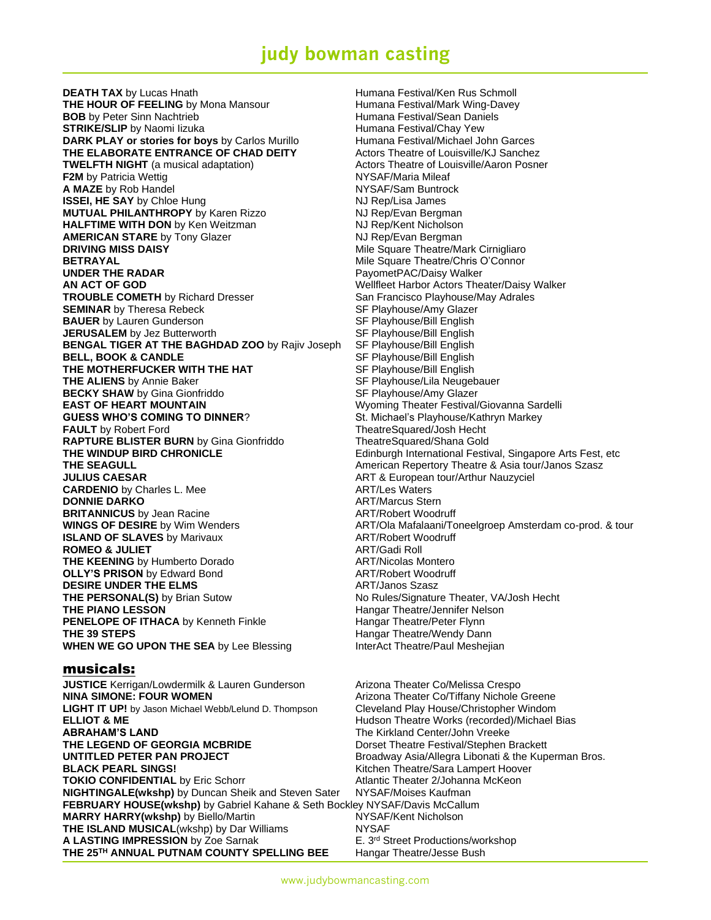**DEATH TAX** by Lucas Hnath **Humana Festival/Ken Rus Schmoll THE HOUR OF FEELING** by Mona Mansour **Humana Festival/Mark Wing-Davey BOB** by Peter Sinn Nachtrieb **Humana Festival/Sean Daniels STRIKE/SLIP** by Naomi Iizuka **Humana Festival/Chay Yew** Humana Festival/Chay Yew **DARK PLAY or stories for boys** by Carlos Murillo Humana Festival/Michael John Garces **THE ELABORATE ENTRANCE OF CHAD DEITY** Actors Theatre of Louisville/KJ Sanchez **TWELFTH NIGHT** (a musical adaptation) **Actors Theatre of Louisville/Aaron Posner F2M** by Patricia Wettig NYSAF/Maria Mileaf **A MAZE** by Rob Handel **NAME A MAZE** by Rob Handel NYSAF/Sam Buntrock **ISSEI, HE SAY** by Chloe Hung **NJ Rep/Lisa James MUTUAL PHILANTHROPY** by Karen Rizzo NJ Rep/Evan Bergman **HALFTIME WITH DON** by Ken Weitzman NJ Rep/Kent Nicholson **AMERICAN STARE** by Tony Glazer NJ Rep/Evan Bergman **DRIVING MISS DAISY Mile Square Theatre/Mark Cirnigliaro DRIVING MISS DAISY BETRAYAL BETRAYAL Mile Square Theatre/Chris O'Connor UNDER THE RADAR CONDUCTED FOR A PAYA PAYA PAYOMETPAC/Daisy Walker AN ACT OF GOD** Wellfleet Harbor Actors Theater/Daisy Walker **TROUBLE COMETH** by Richard Dresser San Francisco Playhouse/May Adrales **SEMINAR** by Theresa Rebeck SF Playhouse/Amy Glazer **BAUER** by Lauren Gunderson SE Playhouse/Bill English **JERUSALEM** by Jez Butterworth **SERUSALEM** SF Playhouse/Bill English<br>**BENGAL TIGER AT THE BAGHDAD ZOO** by Rajiv Joseph SF Playhouse/Bill English **BENGAL TIGER AT THE BAGHDAD ZOO** by Rajiv Joseph **BELL, BOOK & CANDLE** SF Playhouse/Bill English **THE MOTHERFUCKER WITH THE HAT** SF Playhouse/Bill English **THE ALIENS** by Annie Baker ST Playhouse/Lila Neugebauer **BECKY SHAW** by Gina Gionfriddo **SELL ST Playhouse/Amy Glazer**<br> **EAST OF HEART MOUNTAIN** ST ST SUNDING Theater Festival **GUESS WHO'S COMING TO DINNER?** St. Michael's Playhouse/Kathryn Markey **FAULT** by Robert Ford TheatreSquared/Josh Hecht **RAPTURE BLISTER BURN** by Gina Gionfriddo TheatreSquared/Shana Gold **THE SEAGULL American Repertory Theatre & Asia tour/Janos Szasz** American Repertory Theatre & Asia tour/Janos Szasz **JULIUS CAESAR** ART & European tour/Arthur Nauzyciel **CARDENIO** by Charles L. Mee **ART/Les Waters DONNIE DARKO**<br> **BRITANNICUS** by Jean Racine<br> **ART/Robert Woodruff BRITANNICUS** by Jean Racine **ISLAND OF SLAVES** by Marivaux **ART/Robert Woodruff ROMEO & JULIET** ART/Gadi Roll **THE KEENING** by Humberto Dorado **ART/Nicolas Montero OLLY'S PRISON** by Edward Bond **ART/Robert Woodruff DESIRE UNDER THE ELMS** ART/Janos Szasz **THE PERSONAL(S)** by Brian Sutow No Rules/Signature Theater, VA/Josh Hecht **THE PIANO LESSON Hangar Theatre/Jennifer Nelson PENELOPE OF ITHACA** by Kenneth Finkle Hangar Theatre/Peter Flynn **THE 39 STEPS Hangar Theatre/Wendy Dann WHEN WE GO UPON THE SEA** by Lee Blessing **InterAct Theatre/Paul Meshejian** 

### musicals:

**JUSTICE** Kerrigan/Lowdermilk & Lauren Gunderson **Arizona Theater Co/Melissa Crespo NINA SIMONE: FOUR WOMEN Arizona Theater Co/Tiffany Nichole Greene LIGHT IT UP!** by Jason Michael Webb/Lelund D. Thompson Cleveland Play House/Christopher Windom **ELLIOT & ME ELLIOT & ME Hudson Theatre Works (recorded)/Michael Bias ABRAHAM'S LAND** The Kirkland Center/John Vreeke **THE LEGEND OF GEORGIA MCBRIDE** Dorset Theatre Festival/Stephen Brackett **UNTITLED PETER PAN PROJECT** Broadway Asia/Allegra Libonati & the Kuperman Bros. **BLACK PEARL SINGS!** The Controllectual Controllectual City Mitchen Theatre/Sara Lampert Hoover **TOKIO CONFIDENTIAL** by Eric Schorr **Atlantic Theater 2/Johanna McKeon NIGHTINGALE(wkshp)** by Duncan Sheik and Steven Sater NYSAF/Moises Kaufman **FEBRUARY HOUSE(wkshp)** by Gabriel Kahane & Seth Bockley NYSAF/Davis McCallum **MARRY HARRY(wkshp)** by Biello/Martin NYSAF/Kent Nicholson **THE ISLAND MUSICAL**(wkshp) by Dar Williams NYSAF **A LASTING IMPRESSION** by Zoe Sarnak **E. 3<sup>rd</sup> Street Productions/workshop THE 25TH ANNUAL PUTNAM COUNTY SPELLING BEE** Hangar Theatre/Jesse Bush

**Wyoming Theater Festival/Giovanna Sardelli THE WINDUP BIRD CHRONICLE** Edinburgh International Festival, Singapore Arts Fest, etc **WINGS OF DESIRE** by Wim Wenders **ART/Ola Mafalaani/Toneelgroep Amsterdam co-prod. & tour** ART/Ola Mafalaani/Toneelgroep Amsterdam co-prod. & tour